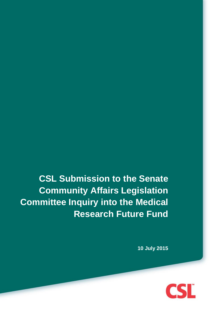**CSL Submission to the Senate Community Affairs Legislation Committee Inquiry into the Medical Research Future Fund**

**10 July 2015**

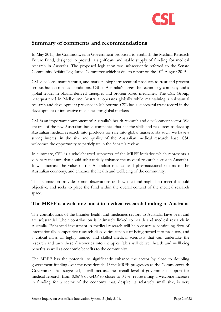

## <span id="page-1-0"></span>**Summary of comments and recommendations**

In May 2015, the Commonwealth Government proposed to establish the Medical Research Future Fund, designed to provide a significant and stable supply of funding for medical research in Australia. The proposed legislation was subsequently referred to the Senate Community Affairs Legislative Committee which is due to report on the 10<sup>th</sup> August 2015.

CSL develops, manufactures, and markets biopharmaceutical products to treat and prevent serious human medical conditions. CSL is Australia's largest biotechnology company and a global leader in plasma-derived therapies and protein-based medicines. The CSL Group, headquartered in Melbourne Australia, operates globally while maintaining a substantial research and development presence in Melbourne. CSL has a successful track record in the development of innovative medicines for global markets.

CSL is an important component of Australia's health research and development sector. We are one of the few Australian-based companies that has the skills and resources to develop Australian medical research into products for sale into global markets. As such, we have a strong interest in the size and quality of the Australian medical research base. CSL welcomes the opportunity to participate in the Senate's review.

In summary, CSL is a wholehearted supporter of the MRFF initiative which represents a visionary measure that could substantially enhance the medical research sector in Australia. It will increase the value of the Australian medical and pharmaceutical sectors to the Australian economy, and enhance the health and wellbeing of the community.

This submission provides some observations on how the fund might best meet this bold objective, and seeks to place the fund within the overall context of the medical research space.

#### **The MRFF is a welcome boost to medical research funding in Australia**

The contributions of the broader health and medicines sectors to Australia have been and are substantial. Their contribution is intimately linked to health and medical research in Australia. Enhanced investment in medical research will help ensure a continuing flow of internationally competitive research discoveries capable of being turned into products, and a critical mass of highly trained and skilled medical scientists that can undertake the research and turn these discoveries into therapies. This will deliver health and wellbeing benefits as well as economic benefits to the community.

The MRFF has the potential to significantly enhance the sector by close to doubling government funding over the next decade. If the MRFF progresses as the Commonwealth Government has suggested, it will increase the overall level of government support for medical research from 0.06% of GDP to closer to 0.1%, representing a welcome increase in funding for a sector of the economy that, despite its relatively small size, is very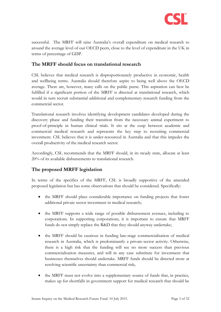

successful. The MRFF will raise Australia's overall expenditure on medical research to around the average level of our OECD peers, close to the level of expenditure in the UK in terms of percentage of GDP.

#### **The MRFF should focus on translational research**

CSL believes that medical research is disproportionately productive in economic, health and wellbeing terms. Australia should therefore aspire to being well above the OECD average. There are, however, many calls on the public purse. This aspiration can best be fulfilled if a significant portion of the MRFF is directed at translational research, which would in turn recruit substantial additional and complementary research funding from the commercial sector.

Translational research involves identifying development candidates developed during the discovery phase and funding their transition from the necessary animal experiment to proof-of-principle in human clinical trials. It sits at the cusp between academic and commercial medical research and represents the key step to recruiting commercial investment. CSL believes that it is under-resourced in Australia and that this impedes the overall productivity of the medical research sector.

Accordingly, CSL recommends that the MRFF should, in its steady state, allocate at least 20% of its available disbursements to translational research.

#### **The proposed MRFF legislation**

In terms of the specifics of the MRFF, CSL is broadly supportive of the amended proposed legislation but has some observations that should be considered. Specifically:

- the MRFF should place considerable importance on funding projects that foster additional private sector investment in medical research;
- the MRFF supports a wide range of possible disbursement avenues, including to corporations. In supporting corporations, it is important to ensure that MRFF funds do not simply replace the R&D that they should anyway undertake;
- the MRFF should be cautious in funding late-stage commercialisation of medical research in Australia, which is predominantly a private-sector activity. Otherwise, there is a high risk that the funding will see no more success than previous commercialisation measures, and will in any case substitute for investment that businesses themselves should undertake. MRFF funds should be directed more at resolving scientific uncertainty than commercial risk;
- the MRFF must not evolve into a supplementary source of funds that, in practice, makes up for shortfalls in government support for medical research that should be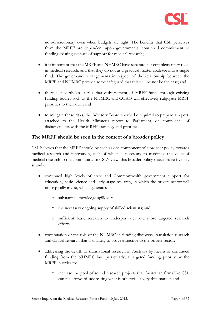

non-discretionary even when budgets are tight. The benefits that CSL perceives from the MRFF are dependent upon governments' continued commitment to funding existing avenues of support for medical research;

- it is important that the MRFF and NHMRC have separate but complementary roles in medical research, and that they do not as a practical matter coalesce into a single fund. The governance arrangements in respect of the relationship between the MRFF and NHMRC provide some safeguard that this will be not be the case; and
- there is nevertheless a risk that disbursement of MRFF funds through existing funding bodies such as the NHMRC and COAG will effectively subjugate MRFF priorities to their own; and
- to mitigate these risks, the Advisory Board should be required to prepare a report, attached to the Health Minister's report to Parliament, on compliance of disbursements with the MRFF's strategy and priorities.

## **The MRFF should be seen in the context of a broader policy**

CSL believes that the MRFF should be seen as one component of a broader policy towards medical research and innovation, each of which is necessary to maximise the value of medical research to the community. In CSL's view, this broader policy should have five key strands:

- continued high levels of state and Commonwealth government support for education, basic science and early stage research, in which the private sector will not typically invest, which generates
	- o substantial knowledge spillovers;
	- o the necessary ongoing supply of skilled scientists; and
	- o sufficient basic research to underpin later and more targeted research efforts.
- continuation of the role of the NHMRC in funding discovery, translation research and clinical research that is unlikely to prove attractive to the private sector;
- addressing the dearth of translational research in Australia by means of continued funding from the NHMRC but, particularly, a targeted funding priority by the MRFF in order to:
	- o increase the pool of sound research projects that Australian firms like CSL can take forward, addressing what is otherwise a very thin market; and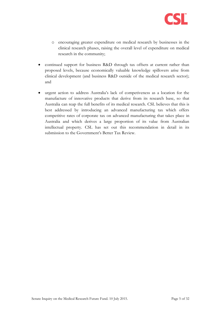

- o encouraging greater expenditure on medical research by businesses in the clinical research phases, raising the overall level of expenditure on medical research in the community;
- continued support for business R&D through tax offsets at current rather than proposed levels, because economically valuable knowledge spillovers arise from clinical development (and business R&D outside of the medical research sector); and
- urgent action to address Australia's lack of competiveness as a location for the manufacture of innovative products that derive from its research base, so that Australia can reap the full benefits of its medical research. CSL believes that this is best addressed by introducing an advanced manufacturing tax which offers competitive rates of corporate tax on advanced manufacturing that takes place in Australia and which derives a large proportion of its value from Australian intellectual property. CSL has set out this recommendation in detail in its submission to the Government's Better Tax Review.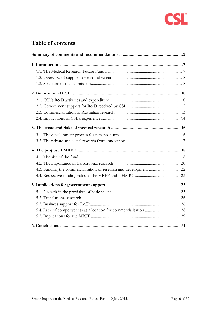

# **Table of contents**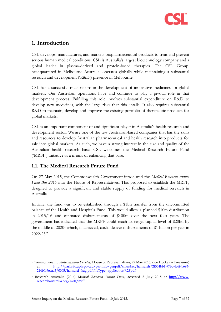

# <span id="page-6-0"></span>**1. Introduction**

CSL develops, manufactures, and markets biopharmaceutical products to treat and prevent serious human medical conditions. CSL is Australia's largest biotechnology company and a global leader in plasma-derived and protein-based therapies. The CSL Group, headquartered in Melbourne Australia, operates globally while maintaining a substantial research and development ('R&D') presence in Melbourne.

CSL has a successful track record in the development of innovative medicines for global markets. Our Australian operations have and continue to play a pivotal role in that development process. Fulfilling this role involves substantial expenditure on R&D to develop new medicines, with the large risks that this entails. It also requires substantial R&D to maintain, develop and improve the existing portfolio of therapeutic products for global markets.

CSL is an important component of and significant player in Australia's health research and development sector. We are one of the few Australian-based companies that has the skills and resources to develop Australian pharmaceutical and health research into products for sale into global markets. As such, we have a strong interest in the size and quality of the Australian health research base. CSL welcomes the Medical Research Future Fund ('MRFF') initiative as a means of enhancing that base.

## <span id="page-6-1"></span>**1.1. The Medical Research Future Fund**

On 27 May 2015, the Commonwealth Government introduced the *Medical Research Future Fund Bill 2015* into the House of Representatives. This proposed to establish the MRFF, designed to provide a significant and stable supply of funding for medical research in Australia.

Initially, the fund was to be established through a \$1bn transfer from the uncommitted balance of the Health and Hospitals Fund. This would allow a planned \$10m distribution in 2015/16 and estimated disbursements of \$400m over the next four years. The government has indicated that the MRFF could reach its target capital level of \$20bn by the middle of 2020<sup>1</sup> which, if achieved, could deliver disbursements of \$1 billion per year in 2022-23.<sup>2</sup>

<sup>1</sup> Commonwealth, *Parliamentary Debates*, House of Representatives, 27 May 2015, (Joe Hockey – Treasurer) at [http://parlinfo.aph.gov.au/parlInfo/genpdf/chamber/hansardr/2f554bb1-776c-4c6f-b693-](http://parlinfo.aph.gov.au/parlInfo/genpdf/chamber/hansardr/2f554bb1-776c-4c6f-b693-214bf49ecaa3/0005/hansard_frag.pdf;fileType=application%2Fpdf) [214bf49ecaa3/0005/hansard\\_frag.pdf;fileType=application%2Fpdf](http://parlinfo.aph.gov.au/parlInfo/genpdf/chamber/hansardr/2f554bb1-776c-4c6f-b693-214bf49ecaa3/0005/hansard_frag.pdf;fileType=application%2Fpdf)

<sup>2</sup> Research Australia (2014) M*edical Research Future Fund*, accessed 3 July 2015 at http://www. researchaustralia.org/mrff/mrff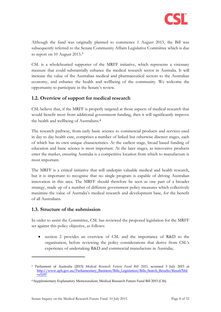

Although the fund was originally planned to commence 1 August 2015, the Bill was subsequently referred to the Senate Community Affairs Legislative Committee which is due to report on 10 August 2015.<sup>3</sup>

CSL is a wholehearted supporter of the MRFF initiative, which represents a visionary measure that could substantially enhance the medical research sector in Australia. It will increase the value of the Australian medical and pharmaceutical sectors to the Australian economy, and enhance the health and wellbeing of the community. We welcome the opportunity to participate in the Senate's review.

## <span id="page-7-0"></span>**1.2. Overview of support for medical research**

CSL believe that, if the MRFF is properly targeted at those aspects of medical research that would benefit most from additional government funding, then it will significantly improve the health and wellbeing of Australians. 4

The research pathway, from early basic science to commercial products and services used in day to day health care, comprises a number of linked but otherwise discreet stages, each of which has its own unique characteristics. At the earliest stage, broad based funding of education and basic science is most important. At the later stages, as innovative products enter the market, ensuring Australia is a competitive location from which to manufacture is most important.

The MRFF is a critical initiative that will underpin valuable medical and health research, but it is important to recognise that no single program is capable of driving Australian innovation in this area. The MRFF should therefore be seen as one part of a broader strategy, made up of a number of different government policy measures which collectively maximise the value of Australia's medical research and development base, for the benefit of all Australians.

#### <span id="page-7-1"></span>**1.3. Structure of the submission**

-

In order to assist the Committee, CSL has reviewed the proposed legislation for the MRFF set against this policy objective, as follows:

 section [2](#page-9-0) provides an overview of CSL and the importance of R&D to the organisation, before reviewing the policy considerations that derive from CSL's experience of undertaking R&D and commercial manufacture in Australia;

<sup>3</sup> Parliament of Australia (2015) *Medical Research Future Fund Bill 2015*, accessed 3 July 2015 at [http://www.aph.gov.au/Parliamentary\\_Business/Bills\\_Legislation/Bills\\_Search\\_Results/Result?bId](http://www.aph.gov.au/Parliamentary_Business/Bills_Legislation/Bills_Search_Results/Result?bId=r5397) [=r5397](http://www.aph.gov.au/Parliamentary_Business/Bills_Legislation/Bills_Search_Results/Result?bId=r5397)

<sup>4</sup> Supplementary Explanatory Memorandum, Medical Research Future Fund Bill 2015 (Cth)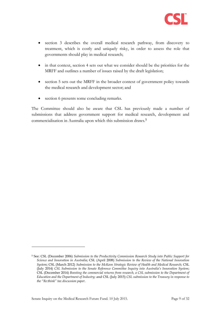

- section [3](#page-15-0) describes the overall medical research pathway, from discovery to treatment, which is costly and uniquely risky, in order to assess the role that governments should play in medical research;
- in that context, section [4](#page-17-0) sets out what we consider should be the priorities for the MRFF and outlines a number of issues raised by the draft legislation;
- section [5](#page-24-0) sets out the MRFF in the broader context of government policy towards the medical research and development sector; and
- section [6](#page-30-0) presents some concluding remarks.

The Committee should also be aware that CSL has previously made a number of submissions that address government support for medical research, development and commercialisation in Australia upon which this submission draws.<sup>5</sup>

<sup>5</sup> See: CSL (December 2006) *Submission to the Productivity Commission Research Study into Public Support for Science and Innovation in Australia*; CSL (April 2008) *Submission to the Review of the National Innovation System*; CSL (March 2012) *Submission to the McKeon Strategic Review of Health and Medical Research*; CSL (July 2014) *CSL Submission to the Senate Reference Committee Inquiry into Australia's Innovation System*; CSL (December 2014) *Boosting the commercial returns from research, a CSL submission to the Department of Education and the Department of Industry;* and CSL (July 2015) *CSL submission to the Treasury in response to the "Re:think" tax discussion paper*.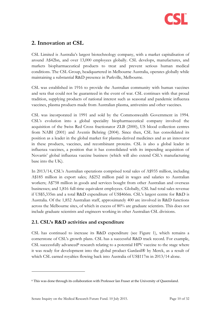

# <span id="page-9-0"></span>**2. Innovation at CSL**

CSL Limited is Australia's largest biotechnology company, with a market capitalisation of around A\$42bn, and over 13,000 employees globally. CSL develops, manufactures, and markets biopharmaceutical products to treat and prevent serious human medical conditions. The CSL Group, headquartered in Melbourne Australia, operates globally while maintaining a substantial R&D presence in Parkville, Melbourne.

CSL was established in 1916 to provide the Australian community with human vaccines and sera that could not be guaranteed in the event of war. CSL continues with that proud tradition, supplying products of national interest such as seasonal and pandemic influenza vaccines, plasma products made from Australian plasma, antivenins and other vaccines.

CSL was incorporated in 1991 and sold by the Commonwealth Government in 1994. CSL's evolution into a global speciality biopharmaceutical company involved the acquisition of the Swiss Red Cross fractionator ZLB (2000), US blood collection centres from NABI (2001) and Aventis Behring (2004). Since then, CSL has consolidated its position as a leader in the global market for plasma-derived medicines and as an innovator in these products, vaccines, and recombinant proteins. CSL is also a global leader in influenza vaccines, a position that it has consolidated with its impending acquisition of Novartis' global influenza vaccine business (which will also extend CSL's manufacturing base into the UK).

In 2013/14, CSL's Australian operations comprised total sales of A\$935 million, including A\$185 million in export sales; A\$252 million paid in wages and salaries to Australian workers; A\$758 million in goods and services bought from other Australian and overseas businesses; and 1,816 full-time equivalent employees. Globally, CSL had total sales revenue if US\$5,335m and a total R&D expenditure of US\$466m. CSL's largest centre for R&D is Australia. Of the 1,852 Australian staff, approximately 400 are involved in R&D functions across the Melbourne sites, of which in excess of 80% are graduate scientists. This does not include graduate scientists and engineers working in other Australian CSL divisions.

## <span id="page-9-1"></span>**2.1. CSL's R&D activities and expenditure**

CSL has continued to increase its R&D expenditure (see [Figure 1\)](#page-10-0), which remains a cornerstone of CSL's growth plans. CSL has a successful R&D track record. For example,  $CSL$  successfully advanced $6$  research relating to a potential HPV vaccine to the stage where it was ready for development into the global product Gardasil® by Merck, as a result of which CSL earned royalties flowing back into Australia of US\$117m in 2013/14 alone.

<sup>6</sup> This was done through its collaboration with Professor Ian Fraser at the University of Queensland.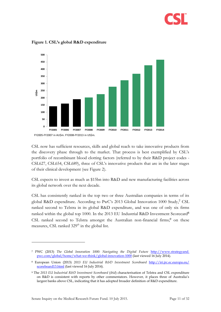



<span id="page-10-0"></span>**Figure 1. CSL's global R&D expenditure**

CSL now has sufficient resources, skills and global reach to take innovative products from the discovery phase through to the market. That process is best exemplified by CSL's portfolio of recombinant blood clotting factors (referred to by their R&D project codes - CSL627, CSL654, CSL689), three of CSL's innovative products that are in the later stages of their clinical development (see [Figure 2\)](#page-11-1).

CSL expects to invest as much as \$15bn into R&D and new manufacturing facilities across its global network over the next decade.

CSL has consistently ranked in the top two or three Australian companies in terms of its global R&D expenditure. According to PwC's 2013 Global Innovation 1000 Study, <sup>7</sup> CSL ranked second to Telstra in its global R&D expenditure, and was one of only six firms ranked within the global top 1000. In the 2013 EU Industrial R&D Investment Scorecard<sup>8</sup> CSL ranked second to Telstra amongst the Australian non-financial firms;<sup>9</sup> on these measures, CSL ranked  $329<sup>th</sup>$  in the global list.

<sup>7</sup> PWC (2013) *The Global Innovation 1000: Navigating the Digital Future* http://www.strategyand. pwc.com/global/home/what-we-think/global-innovation-1000 (last viewed 16 July 2014).

<sup>8</sup> European Union (2013) *2013 EU Industrial R&D Investment Scoreboard* [http://iri.jrc.ec.europa.eu/](http://iri.jrc.ec.europa.eu/%20scoreboard13.html)  [scoreboard13.html](http://iri.jrc.ec.europa.eu/%20scoreboard13.html) (last viewed 16 July 2014).

<sup>9</sup> The *2013 EU Industrial R&D Investment Scoreboard* (*ibid*) characterisation of Telstra and CSL expenditure on R&D is consistent with reports by other commentators. However, it places three of Australia's largest banks above CSL, indicating that it has adopted broader definition of R&D expenditure.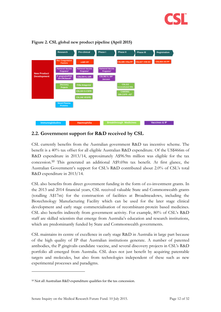



#### <span id="page-11-1"></span>**Figure 2. CSL global new product pipeline (April 2015)**

#### <span id="page-11-0"></span>**2.2. Government support for R&D received by CSL**

CSL currently benefits from the Australian government R&D tax incentive scheme. The benefit is a 40% tax offset for all eligible Australian R&D expenditure. Of the US\$466m of R&D expenditure in 2013/14, approximately A\$96.9m million was eligible for the tax concession.<sup>10</sup> This generated an additional A\$9.69m tax benefit. At first glance, the Australian Government's support for CSL's R&D contributed about 2.0% of CSL's total R&D expenditure in 2013/14.

CSL also benefits from direct government funding in the form of co-investment grants. In the 2013 and 2014 financial years, CSL received valuable State and Commonwealth grants (totalling A\$17m) for the construction of facilities at Broadmeadows, including the Biotechnology Manufacturing Facility which can be used for the later stage clinical development and early stage commercialisation of recombinant-protein based medicines. CSL also benefits indirectly from government activity. For example, 80% of CSL's R&D staff are skilled scientists that emerge from Australia's education and research institutions, which are predominantly funded by State and Commonwealth governments.

CSL maintains its centre of excellence in early stage R&D in Australia in large part because of the high quality of IP that Australian institutions generate. A number of patented antibodies, the P gingivalis candidate vaccine, and several discovery projects in CSL's R&D portfolio all emerged from Australia. CSL does not just benefit by acquiring patentable targets and molecules, but also from technologies independent of these such as new experimental processes and paradigms.

<sup>10</sup> Not all Australian R&D expenditure qualifies for the tax concession.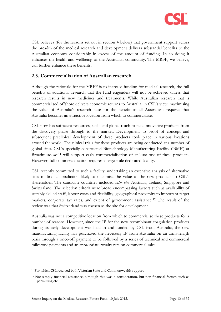

CSL believes (for the reasons set out in section [4 below\)](#page-17-0) that government support across the breadth of the medical research and development delivers substantial benefits to the Australian economy considerably in excess of the amount of funding. In so doing it enhances the health and wellbeing of the Australian community. The MRFF, we believe, can further enhance these benefits.

### <span id="page-12-0"></span>**2.3. Commercialisation of Australian research**

Although the rationale for the MRFF is to increase funding for medical research, the full benefits of additional research that the fund engenders will not be achieved unless that research results in new medicines and treatments. While Australian research that is commercialised offshore delivers economic returns to Australia, in CSL's view, maximising the value of Australia's research base for the benefit of all Australians requires that Australia becomes an attractive location from which to commercialise.

CSL now has sufficient resources, skills and global reach to take innovative products from the discovery phase through to the market. Development to proof of concept and subsequent preclinical development of these products took place in various locations around the world. The clinical trials for these products are being conducted at a number of global sites. CSL's specially constructed Biotechnology Manufacturing Facility ('BMF') at Broadmeadows<sup>11</sup> will support early commercialisation of at least one of these products. However, full commercialisation requires a large scale dedicated facility.

CSL recently committed to such a facility, undertaking an extensive analysis of alternative sites to find a jurisdiction likely to maximise the value of the new products to CSL's shareholder. The candidate countries included *inter alia* Australia, Ireland, Singapore and Switzerland. The selection criteria were broad encompassing factors such as availability of suitably skilled staff, labour costs and flexibility, geographical proximity to important target markets, corporate tax rates, and extent of government assistance.<sup>12</sup> The result of the review was that Switzerland was chosen as the site for development.

Australia was not a competitive location from which to commercialise these products for a number of reasons. However, since the IP for the new recombinant coagulation products during its early development was held in and funded by CSL from Australia, the new manufacturing facility has purchased the necessary IP from Australia on an arms-length basis through a once-off payment to be followed by a series of technical and commercial milestone payments and an appropriate royalty rate on commercial sales.

<sup>&</sup>lt;sup>11</sup> For which CSL received both Victorian State and Commonwealth support.

<sup>12</sup> Not simply financial assistance, although this was a consideration, but non-financial factors such as permitting etc.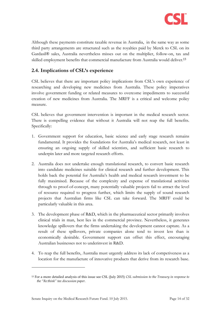

Although these payments constitute taxable revenue in Australia, in the same way as some third party arrangements are structured such as the royalties paid by Merck to CSL on its Gardasil® sales, Australia nevertheless misses out on the multiplier, follow-on, tax and skilled employment benefits that commercial manufacture from Australia would deliver. 13

## <span id="page-13-0"></span>**2.4. Implications of CSL's experience**

CSL believes that there are important policy implications from CSL's own experience of researching and developing new medicines from Australia. These policy imperatives involve government funding or related measures to overcome impediments to successful creation of new medicines from Australia. The MRFF is a critical and welcome policy measure.

CSL believes that government intervention is important in the medical research sector. There is compelling evidence that without it Australia will not reap the full benefits. Specifically:

- 1. Government support for education, basic science and early stage research remains fundamental. It provides the foundations for Australia's medical research, not least in ensuring an ongoing supply of skilled scientists, and sufficient basic research to underpin later and more targeted research efforts.
- 2. Australia does not undertake enough translational research, to convert basic research into candidate medicines suitable for clinical research and further development. This holds back the potential for Australia's health and medical research investment to be fully maximised. Because of the complexity and expense of translational activities through to proof-of-concept, many potentially valuable projects fail to attract the level of resource required to progress further, which limits the supply of sound research projects that Australian firms like CSL can take forward. The MRFF could be particularly valuable in this area.
- 3. The development phase of R&D, which in the pharmaceutical sector primarily involves clinical trials in man, best lies in the commercial province. Nevertheless, it generates knowledge spillovers that the firms undertaking the development cannot capture. As a result of these spillovers, private companies alone tend to invest less than is economically desirable. Government support can offset this effect, encouraging Australian businesses not to underinvest in R&D.
- 4. To reap the full benefits, Australia must urgently address its lack of competiveness as a location for the manufacture of innovative products that derive from its research base.

<sup>13</sup> For a more detailed analysis of this issue see CSL (July 2015) *CSL submission to the Treasury in response to the "Re:think" tax discussion paper*.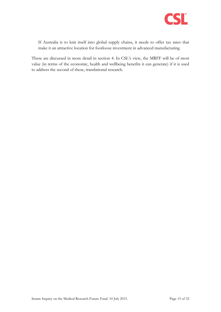

If Australia is to knit itself into global supply chains, it needs to offer tax rates that make it an attractive location for footloose investment in advanced manufacturing.

These are discussed in more detail in section [4.](#page-17-0) In CSL's view, the MRFF will be of most value (in terms of the economic, health and wellbeing benefits it can generate) if it is used to address the second of these, translational research.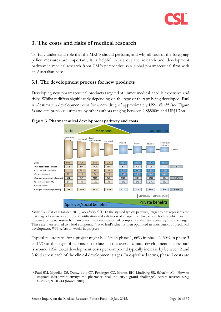

# <span id="page-15-0"></span>**3. The costs and risks of medical research**

To fully understand role that the MRFF should perform, and why all four of the foregoing policy measures are important, it is helpful to set out the research and development pathway in medical research from CSL's perspective as a global pharmaceutical firm with an Australian base.

## <span id="page-15-1"></span>**3.1. The development process for new products**

Developing new pharmaceutical products targeted at unmet medical need is expensive and risky. Whilst it differs significantly depending on the type of therapy being developed, Paul *et al* estimate a development cost for a new drug of approximately US\$1.8bn<sup>14</sup> (see Figure [3\)](#page-15-2) and cite previous estimates by other authors ranging between US\$800m and US\$1.7bn.



#### <span id="page-15-2"></span>**Figure 3. Pharmaceutical development pathway and costs**

*Source:* Paul SM et al (March 2010) *amended by CSL*. In the stylised typical pathway, 'target to hit' represents the first stage of discovery after the identification and validation of a target for drug action, both of which are the province of basic research. It involves the identification of compounds that are active against the target. These are then refined to a lead compound ('hit to lead') which is then optimised in anticipation of preclinical development. WIP refers to 'works in progress.

Typical failure rates for a project might be 46% in phase 1, 66% in phase 2, 30% in phase 3 and 9% at the stage of submission to launch; the overall clinical development success rate is around 12%. Total development costs per compound typically increase by between 2 and 3 fold across each of the clinical development stages. In capitalised terms, phase 3 costs are

<sup>14</sup> Paul SM, Mytelka DS, Dunwiddie CT, Persinger CC, Munos BH, Lindborg SR, Schacht AL, 'How to improve R&D productivity: the pharmaceutical industry's grand challenge', *Nature Reviews Drug Discovery* 9, 203-14 (March 2010).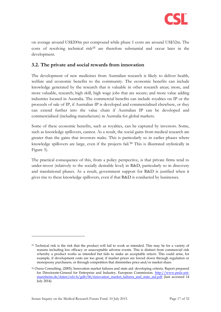

on average around US\$200m per compound while phase 1 costs are around US\$32m. The costs of resolving technical risk<sup>15</sup> are therefore substantial and occur later in the development.

### <span id="page-16-0"></span>**3.2. The private and social rewards from innovation**

The development of new medicines from Australian research is likely to deliver health, welfare and economic benefits to the community. The economic benefits can include knowledge generated by the research that is valuable in other research areas; more, and more valuable, research; high skill, high wage jobs that are secure; and more value adding industries located in Australia. The commercial benefits can include royalties on IP or the proceeds of sale of IP, if Australian IP is developed and commercialised elsewhere, or they can extend further into the value chain if Australian IP can be developed and commercialised (including manufacture) in Australia for global markets.

Some of these economic benefits, such as royalties, can be captured by investors. Some, such as knowledge spillovers, cannot. As a result, the social gains from medical research are greater than the gains that investors make. This is particularly so in earlier phases where knowledge spillovers are large, even if the projects fail.<sup>16</sup> This is illustrated stylistically in [Figure 3\)](#page-15-2).

The practical consequence of this, from a policy perspective, is that private firms tend to under-invest (relatively to the socially desirable level) in R&D, particularly so in discovery and translational phases. As a result, government support for R&D is justified when it gives rise to these knowledge spillovers, even if that R&D is conducted by businesses.

<sup>15</sup> Technical risk is the risk that the product will fail to work as intended. This may be for a variety of reasons including low efficacy or unacceptable adverse events. This is distinct from commercial risk whereby a product works as intended but fails to make an acceptable return. This could arise, for example, if development costs are too great, if market prices are forced down through regulation or monopsony purchasers, or through competition that diminishes price and/or market share.

<sup>16</sup> Oxera Consulting. (2005). Innovation market failures and state aid: developing criteria. Report prepared for Directorate-General for Enterprise and Industry, European Commission. [http://www.pedz.uni](http://www.pedz.uni-mannheim.de/daten/edz-h/gdb/06/innovation_market_failures_and_state_aid.pdf)[mannheim.de/daten/edz-h/gdb/06/innovation\\_market\\_failures\\_and\\_state\\_aid.pdf](http://www.pedz.uni-mannheim.de/daten/edz-h/gdb/06/innovation_market_failures_and_state_aid.pdf) (last accessed 14 July 2014).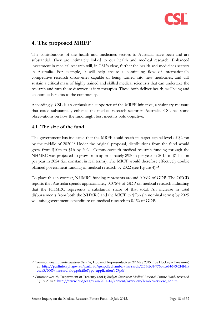

# <span id="page-17-0"></span>**4. The proposed MRFF**

The contributions of the health and medicines sectors to Australia have been and are substantial. They are intimately linked to our health and medical research. Enhanced investment in medical research will, in CSL's view, further the health and medicines sectors in Australia. For example, it will help ensure a continuing flow of internationally competitive research discoveries capable of being turned into new medicines, and will sustain a critical mass of highly trained and skilled medical scientists that can undertake the research and turn these discoveries into therapies. These both deliver health, wellbeing and economics benefits to the community.

Accordingly, CSL is an enthusiastic supporter of the MRFF initiative, a visionary measure that could substantially enhance the medical research sector in Australia. CSL has some observations on how the fund might best meet its bold objective.

## <span id="page-17-1"></span>**4.1. The size of the fund**

-

The government has indicated that the MRFF could reach its target capital level of \$20bn by the middle of 2020. <sup>17</sup> Under the original proposal, distributions from the fund would grow from \$10m to \$1b by 2024. Commonwealth medical research funding through the NHMRC was projected to grow from approximately \$930m per year in 2015 to \$1 billion per year in 2024 (i.e. constant in real terms). The MRFF would therefore effectively double planned government funding of medical research by 2022 (see [Figure 4\)](#page-18-0).<sup>18</sup>

To place this in context, NHMRC funding represents around 0.06% of GDP. The OECD reports that Australia spends approximately 0.075% of GDP on medical research indicating that the NHMRC represents a substantial share of that total. An increase in total disbursements from both the NHMRC and the MRFF to \$2bn (in nominal terms) by 2025 will raise government expenditure on medical research to 0.1% of GDP.

<sup>17</sup> Commonwealth, *Parliamentary Debates*, House of Representatives, 27 May 2015, (Joe Hockey – Treasurer) at [http://parlinfo.aph.gov.au/parlInfo/genpdf/chamber/hansardr/2f554bb1-776c-4c6f-b693-214bf49](http://parlinfo.aph.gov.au/parlInfo/genpdf/chamber/hansardr/2f554bb1-776c-4c6f-b693-214bf49%20ecaa3/0005/hansard_frag.pdf;fileType=application%2Fpdf)  [ecaa3/0005/hansard\\_frag.pdf;fileType=application%2Fpdf](http://parlinfo.aph.gov.au/parlInfo/genpdf/chamber/hansardr/2f554bb1-776c-4c6f-b693-214bf49%20ecaa3/0005/hansard_frag.pdf;fileType=application%2Fpdf)

<sup>18</sup> Commonwealth, Department of Treasury (2014) *Budget Overview: Medical Research Future Fund*, accessed 3 July 2014 a[t http://www.budget.gov.au/2014-15/content/overview/html/overview\\_12.htm](http://www.budget.gov.au/2014-15/content/overview/html/overview_12.htm)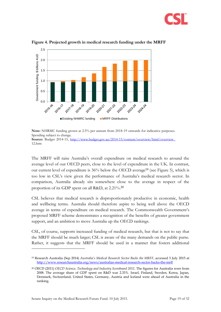



<span id="page-18-0"></span>**Figure 4. Projected growth in medical research funding under the MRFF**

**Note:** NHRMC funding grown at 2.5% per annum from 2018-19 onwards for indicative purposes. Spending subject to change. Source: Budget 2014-15, http://www.budget.gov.au/2014-15/content/overview/html/overview

12.htm

The MRFF will raise Australia's overall expenditure on medical research to around the average level of our OECD peers, close to the level of expenditure in the UK. In contrast, our current level of expenditure is 36% below the OECD average<sup>19</sup> (see [Figure 5\)](#page-19-1), which is too low in CSL's view given the performance of Australia's medical research sector. In comparison, Australia already sits somewhere close to the average in respect of the proportion of its GDP spent on all R&D, at 2.21%.<sup>20</sup>

CSL believes that medical research is disproportionately productive in economic, health and wellbeing terms. Australia should therefore aspire to being well above the OECD average in terms of expenditure on medical research. The Commonwealth Government's proposed MRFF scheme demonstrates a recognition of the benefits of greater government support, and an ambition to move Australia up the OECD rankings.

CSL, of course, supports increased funding of medical research, but that is not to say that the MRFF should be much larger; CSL is aware of the many demands on the public purse. Rather, it suggests that the MRFF should be used in a manner that fosters additional

<sup>19</sup> Research Australia (Sep 2014) *Australia's Medical Research Sector Backs the MRFF*, accessed 3 July 2015 at <http://www.researchaustralia.org/news/australias-medical-research-sector-backs-the-mrff>

<sup>20</sup> OECD (2011) *OECD Science, Technology and Industry Scoreboard 2011*. The figures for Australia were from 2008. The average share of GDP spent on R&D was 2.33%. Israel, Finland, Sweden, Korea, Japan, Denmark, Switzerland, United States, Germany, Austria and Iceland were ahead of Australia in the ranking.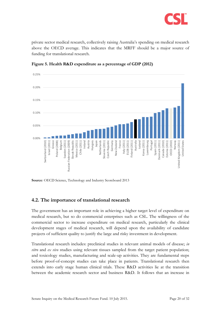

private sector medical research, collectively raising Australia's spending on medical research above the OECD average. This indicates that the MRFF should be a major source of funding for translational research.



<span id="page-19-1"></span>**Figure 5. Health R&D expenditure as a percentage of GDP (2012)**

**Source**: OECD Science, Technology and Industry Scoreboard 2013

#### <span id="page-19-0"></span>**4.2. The importance of translational research**

The government has an important role in achieving a higher target level of expenditure on medical research, but so do commercial enterprises such as CSL. The willingness of the commercial sector to increase expenditure on medical research, particularly the clinical development stages of medical research, will depend upon the availability of candidate projects of sufficient quality to justify the large and risky investment in development.

Translational research includes: preclinical studies in relevant animal models of disease; *in vitro* and *ex vivo* studies using relevant tissues sampled from the target patient population; and toxicology studies, manufacturing and scale-up activities. They are fundamental steps before proof-of-concept studies can take place in patients. Translational research then extends into early stage human clinical trials. These R&D activities lie at the transition between the academic research sector and business R&D. It follows that an increase in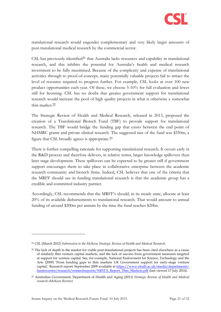

translational research would engender complementary and very likely larger amounts of post-translational medical research by the commercial sector.

CSL has previously identified<sup>21</sup> that Australia lacks resources and capability in translational research, and this inhibits the potential for Australia's health and medical research investment to be fully maximised. Because of the complexity and expense of translational activities through to proof-of-concept, many potentially valuable projects fail to attract the level of resource required to progress further. For example, CSL looks at over 100 new product opportunities each year. Of these, we choose 5-10% for full evaluation and fewer still for licensing. CSL has no doubt that greater government support for translational research would increase the pool of high quality projects in what is otherwise a somewhat thin market.<sup>22</sup>

The Strategic Review of Health and Medical Research, released in 2013, proposed the creation of a Translational Biotech Fund (TBF) to provide support for translational research. The TBF would bridge the funding gap that exists between the end point of NHMRC grants and private clinical research. The suggested size of the fund was \$250m, a figure that CSL broadly agrees is appropriate.<sup>23</sup>

There is further compelling rationale for supporting translational research. It occurs early in the R&D process and therefore delivers, in relative terms, larger knowledge spillovers than later stage development. These spillovers can be expected to be greater still if government support encourages them to take place in collaborative enterprise between the academic research community and biotech firms. Indeed, CSL believes that one of the criteria that the MRFF should use in funding translational research is that the academic group has a credible and committed industry partner.

Accordingly, CSL recommends that the MRFF's should, in its steady state, allocate at least 20% of its available disbursements to translational research. That would amount to annual funding of around \$200m per annum by the time the fund reaches \$20bn.

<sup>21</sup> CSL (March 2012) *Submission to the McKeon Strategic Review of Health and Medical Research.*

<sup>22</sup> The lack of depth in the market for viable post-translational projects has been cited elsewhere as a cause of similarly thin venture capital markets, and the lack of success from government measures targeted at support for venture capital. See, for example, National Endowment for Science, Technology and the Arts (2009) 'From funding gaps to thin markets UK Government support for early-stage venture capital,' Research report: September 2009 available at https://www.strath.ac.uk/media/departments/ [huntercentre/research/researchreports/NESTA\\_Report\\_Thin\\_Markets.pdf](https://www.strath.ac.uk/media/departments/%20huntercentre/research/researchreports/NESTA_Report_Thin_Markets.pdf) (last viewed 17 July 2014).

<sup>23</sup> Australian Government, Department of Health and Aging (2013) *Strategic Review of Health and Medical research (McKeon Review)*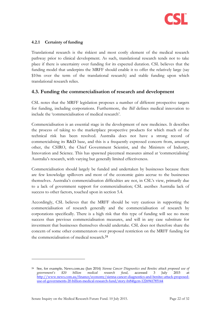

#### **4.2.1 Certainty of funding**

Translational research is the riskiest and most costly element of the medical research pathway prior to clinical development. As such, translational research tends not to take place if there is uncertainty over funding for its expected duration. CSL believes that the funding model that underpins the MRFF should enable it to offer the relatively large (say \$10m over the term of the translational research) and stable funding upon which translational research relies.

#### <span id="page-21-0"></span>**4.3. Funding the commercialisation of research and development**

CSL notes that the MRFF legislation proposes a number of different prospective targets for funding, including corporations. Furthermore, the *Bill* defines medical innovation to include the 'commercialisation of medical research'.

Commercialisation is an essential stage in the development of new medicines. It describes the process of taking to the marketplace prospective products for which much of the technical risk has been resolved. Australia does not have a strong record of commercialising its R&D base, and this is a frequently expressed concern from, amongst other, the CSIRO, the Chief Government Scientist, and the Ministers of Industry, Innovation and Science. This has spawned piecemeal measures aimed at 'commercialising' Australia's research, with varying but generally limited effectiveness.

Commercialisation should largely be funded and undertaken by businesses because there are few knowledge spillovers and most of the economic gains accrue to the businesses themselves. Australia's commercialisation difficulties are not, in CSL's view, primarily due to a lack of government support for commercialisation; CSL ascribes Australia lack of success to other factors, touched upon in section [5.4.](#page-27-0) 

Accordingly, CSL believes that the MRFF should be very cautious in supporting the commercialisation of research generally and the commercialisation of research by corporations specifically. There is a high risk that this type of funding will see no more success than previous commercialisation measures, and will in any case substitute for investment that businesses themselves should undertake. CSL does not therefore share the concern of some other commentators over proposed restriction on the MRFF funding for the commercialisation of medical research.<sup>24</sup>

<sup>24</sup> See, for example, News.com.au (Jun 2014) *Sienna Cancer Diagnostics and Benitec attack proposed use of government's \$20 billion medical research fund*, accessed 3 July 2015 at [http://www.news.com.au/finance/economy/sienna-cancer-diagnostics-and-benitec-attack-proposed](http://www.news.com.au/finance/economy/sienna-cancer-diagnostics-and-benitec-attack-proposed-use-of-governments-20-billion-medical-research-fund/story-fn84fgcm-1226941785144)[use-of-governments-20-billion-medical-research-fund/story-fn84fgcm-1226941785144](http://www.news.com.au/finance/economy/sienna-cancer-diagnostics-and-benitec-attack-proposed-use-of-governments-20-billion-medical-research-fund/story-fn84fgcm-1226941785144)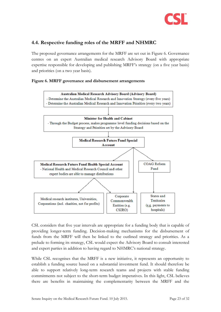

## <span id="page-22-0"></span>**4.4. Respective funding roles of the MRFF and NHMRC**

The proposed governance arrangements for the MRFF are set out in [Figure 6.](#page-22-1) Governance centres on an expert Australian medical research Advisory Board with appropriate expertise responsible for developing and publishing MRFF's strategy (on a five year basis) and priorities (on a two year basis).

#### <span id="page-22-1"></span>**Figure 6. MRFF governance and disbursement arrangements**



CSL considers that five year intervals are appropriate for a funding body that is capable of providing longer-term funding. Decision-making mechanisms for the disbursement of funds from the MRFF will then be linked to the outlined strategy and priorities. As a prelude to forming its strategy, CSL would expect the Advisory Board to consult interested and expert parties in addition to having regard to NHMRC's national strategy.

While CSL recognises that the MRFF is a new initiative, it represents an opportunity to establish a funding source based on a substantial investment fund. It should therefore be able to support relatively long-term research teams and projects with stable funding commitments not subject to the short-term budget imperatives. In this light, CSL believes there are benefits in maintaining the complementarity between the MRFF and the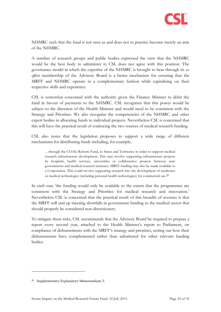

NHMRC such that the fund is not seen as and does not in practice become merely an arm of the NHMRC.

A number of research groups and public bodies expressed the view that the NHMRC would be the best body to administer it; CSL does not agree with this position. The governance model in which the expertise of the NHMRC is brought to bear through its *ex officio* membership of the Advisory Board is a better mechanism for ensuring that the MRFF and NHMRC operate in a complementary fashion while capitalising on their respective skills and experience.

CSL is somewhat concerned with the authority given the Finance Minister to debit the fund in favour of payments to the NHMRC. CSL recognises that this power would be subject to the direction of the Health Minister and would need to be consistent with the Strategy and Priorities. We also recognise the competencies of the NHMRC and other expert bodies in allocating funds to individual projects. Nevertheless CSL is concerned that this will have the practical result of coalescing the two sources of medical research funding.

CSL also notes that the legislation proposes to support a wide range of different mechanisms for distributing funds including, for example,

…through the COAG Reform Fund, to States and Territories in order to support medical research infrastructure development. This may involve supporting infrastructure projects by hospitals, health services, universities or collaborative projects between state governments and medical research institutes. MRFF funding may also be made available to a Corporation. This could involve supporting research into the development of medicines or medical technologies (including personal health technologies) for commercial use.<sup>25</sup>

In each case 'the funding would only be available to the extent that the programmes are consistent with the Strategy and Priorities for medical research and innovation.' Nevertheless CSL is concerned that the practical result of this breadth of avenues is that the MRFF will end up meeting shortfalls in government funding to the medical sector that should properly be considered non-discretionary.

To mitigate these risks, CSL recommends that the Advisory Board be required to prepare a report every second year, attached to the Health Minister's report to Parliament, on compliance of disbursements with the MRFF's strategy and priorities, setting out how their disbursements have complemented rather than substituted for other relevant funding bodies.

<sup>25</sup> Supplementary Explanatory Memorandum, 5.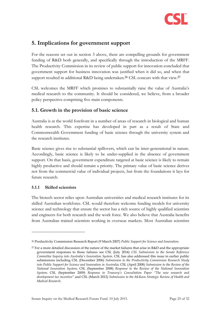

## <span id="page-24-0"></span>**5. Implications for government support**

For the reasons set out in section [3 above,](#page-15-0) there are compelling grounds for government funding of R&D both generally, and specifically through the introduction of the MRFF. The Productivity Commission in its review of public support for innovation concluded that government support for business innovation was justified when it did so, and when that support resulted in additional R&D being undertaken.<sup>26</sup> CSL concurs with that view.<sup>27</sup>

CSL welcomes the MRFF which promises to substantially raise the value of Australia's medical research to the community. It should be considered, we believe, from a broader policy perspective comprising five main components.

#### <span id="page-24-1"></span>**5.1. Growth in the provision of basic science**

Australia is at the world forefront in a number of areas of research in biological and human health research. This expertise has developed in part as a result of State and Commonwealth Government funding of basic science through the university system and the research institutes.

Basic science gives rise to substantial spillovers, which can be inter-generational in nature. Accordingly, basic science is likely to be under-supplied in the absence of government support. On that basis, government expenditure targeted at basic science is likely to remain highly productive and should remain a priority. The primary value of basic science derives not from the commercial value of individual projects, but from the foundations it lays for future research.

#### **5.1.1 Skilled scientists**

-

The biotech sector relies upon Australian universities and medical research institutes for its skilled Australian workforce. CSL would therefore welcome funding models for university science and technology that ensure the sector has a rich source of highly qualified scientists and engineers for both research and the work force. We also believe that Australia benefits from Australian trained scientists working in overseas markets. Most Australian scientists

<sup>26</sup> Productivity Commission Research Report (9 March 2007) *Public Support for Science and Innovation*.

 $27$  For a more detailed discussion of the nature of the market failures that arise in R&D and the appropriate government responses to those failures see CSL (July 2014) *CSL Submission to the Senate Reference Committee Inquiry into Australia's Innovation System*. CSL has also addressed this issue in earlier public submissions including CSL (December 2006) *Submission to the Productivity Commission Research Study into Public Support for Science and Innovation in Australia*; CSL (April 2008) *Submission to the Review of the National Innovation System*; CSL (September 2008) *Response to the Review of the National Innovation System*; CSL (September 2009) *Response to Treasury's Consultation Paper "The new research and development tax incentive"* and CSL (March 2012) *Submission to the McKeon Strategic Review of Health and Medical Research*.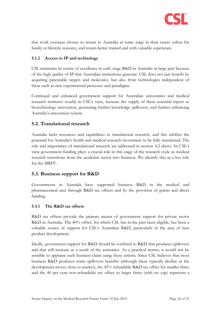

that work overseas choose to return to Australia at some stage in their career (often for family or lifestyle reasons), and return better trained and with valuable experience.

#### **5.1.2 Access to IP and technology**

CSL maintains its centre of excellence in early stage R&D in Australia in large part because of the high quality of IP that Australian institutions generate. CSL does not just benefit by acquiring patentable targets and molecules, but also from technologies independent of these such as new experimental processes and paradigms.

Continued and enhanced government support for Australian universities and medical research institutes would, in CSL's view, increase the supply of these essential inputs to biotechnology innovation, generating further knowledge spillovers, and further enhancing Australia's innovation system.

#### <span id="page-25-0"></span>**5.2. Translational research**

Australia lacks resources and capabilities in translational research, and this inhibits the potential for Australia's health and medical research investment to be fully maximised. The role and importance of translational research are addressed in section [4.2](#page-19-0) above. In CSL's view government funding plays a crucial role in this stage of the research cycle as medical research transitions from the academic sector into business. We identify this as a key role for the MRFF.

#### <span id="page-25-1"></span>**5.3. Business support for R&D**

Governments in Australia have supported business R&D in the medical and pharmaceutical area through R&D tax offsets and by the provision of grants and direct funding.

#### **5.3.1 The R&D tax offsets**

R&D tax offsets provide the primary means of government support for private sector R&D in Australia. The 40% offset, for which CSL has in the past been eligible, has been a valuable source of support for CSL's Australian R&D, particularly in the area of new product development.

Ideally, government support for R&D should be confined to R&D that produces spillovers and that will increase as a result of the assistance. As a practical matter, it would not be sensible to appraise each business claim using these criteria. Since CSL believes that most business R&D produces some spillovers benefits (although these typically decline as the development moves close to market), the 45% refundable R&D tax offset for smaller firms and the 40 per cent non-refundable tax offset to larger firms (with no cap) represent a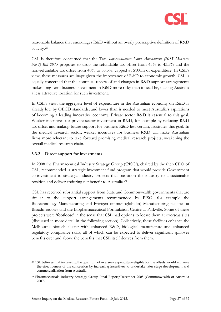

reasonable balance that encourages R&D without an overly proscriptive definition of R&D activity.<sup>28</sup>

CSL is therefore concerned that the Tax *Superannuation Laws Amendment (2015 Measures No.3) Bill 2015* proposes to drop the refundable tax offset from 45% to 43.5% and the non-refundable tax offset from 40% to 38.5%, capped at \$100m of expenditure. In CSL's view, these measures are inapt given the importance of R&D to economic growth. CSL is equally concerned that the continual review of and changes in R&D support arrangements makes long-term business investment in R&D more risky than it need be, making Australia a less attractive location for such investment.

In CSL's view, the aggregate level of expenditure in the Australian economy on R&D is already low by OECD standards, and lower than is needed to meet Australia's aspirations of becoming a leading innovative economy. Private sector R&D is essential to this goal. Weaker incentives for private sector investment in R&D, for example by reducing R&D tax offset and making future support for business R&D less certain, frustrates this goal. In the medical research sector, weaker incentives for business R&D will make Australian firms more reluctant to take forward promising medical research projects, weakening the overall medical research chain.

#### **5.3.2 Direct support for investments**

-

In 2008 the Pharmaceutical Industry Strategy Group ('PISG'), chaired by the then CEO of CSL, recommended 'a strategic investment fund program that would provide Government co-investment in strategic industry projects that transition the industry to a sustainable position and deliver enduring net benefit to Australia.<sup>29</sup>

CSL has received substantial support from State and Commonwealth governments that are similar to the support arrangements recommended by PISG, for example the Biotechnology Manufacturing and Privigen (immunoglobulin) Manufacturing facilities at Broadmeadows and the Biopharmaceutical Formulation Centre at Parkville. Some of these projects were 'footloose' in the sense that CSL had options to locate them at overseas sites (discussed in more detail in the following section). Collectively, these facilities enhance the Melbourne biotech cluster with enhanced R&D, biological manufacture and enhanced regulatory compliance skills, all of which can be expected to deliver significant spillover benefits over and above the benefits that CSL itself derives from them.

<sup>28</sup> CSL believes that increasing the quantum of overseas expenditure eligible for the offsets would enhance the effectiveness of the concession by increasing incentives to undertake later stage development and commercialisation from Australia.

<sup>29</sup> Pharmaceuticals Industry Strategy Group Final Report/December 2008 (Commonwealth of Australia 2009).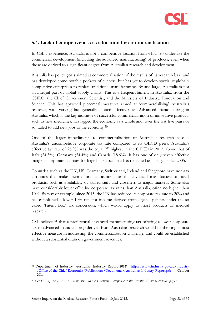

## <span id="page-27-0"></span>**5.4. Lack of competiveness as a location for commercialisation**

In CSL's experience, Australia is not a competitive location from which to undertake the commercial development (including the advanced manufacturing) of products, even when those are derived to a significant degree from Australian research and development.

Australia has policy goals aimed at commercialisation of the results of its research base and has developed some notable pockets of success, but has yet to develop specialist globally competitive enterprises to replace traditional manufacturing. By and large, Australia is not an integral part of global supply chains. This is a frequent lament in Australia, from the CSIRO, the Chief Government Scientist, and the Ministers of Industry, Innovation and Science. This has spawned piecemeal measures aimed at 'commercialising' Australia's research, with varying but generally limited effectiveness. Advanced manufacturing in Australia, which is the key indicator of successful commercialisation of innovative products such as new medicines, has lagged the economy as a whole and, over the last five years or so, failed to add new jobs to the economy.<sup>30</sup>

One of the larger impediments to commercialisation of Australia's research base is Australia's uncompetitive corporate tax rate compared to its OECD peers. Australia's effective tax rate of 25.9% was the equal  $7<sup>th</sup>$  highest in the OECD in 2013, above that of Italy (24.5%), Germany (24.4%) and Canada (18.6%). It has one of only seven effective marginal corporate tax rates for large businesses that has remained unchanged since 2005.

Countries such as the UK, US, Germany, Switzerland, Ireland and Singapore have non-tax attributes that make them desirable locations for the advanced manufacture of novel products, such as availability of skilled staff and closeness to major markets. Some also have considerably lower effective corporate tax rates than Australia, often no higher than 10%. By way of example, since 2013, the UK has reduced its corporate tax rate to 20% and has established a lower 10% rate for income derived from eligible patents under the so called 'Patent Box' tax concession, which would apply to most products of medical research.

CSL believes<sup>31</sup> that a preferential advanced manufacturing tax offering a lower corporate tax to advanced manufacturing derived from Australian research would be the single most effective measure in addressing the commercialisation challenge, and could be established without a substantial drain on government revenues.

<sup>&</sup>lt;sup>30</sup> Department of Industry 'Australian Industry Report 2014' http://www.industry.gov.au/industry [/Office-of-the-Chief-Economist/Publications/Documents/Australian-Industry-Report.pdf](http://www.industry.gov.au/industry%20/Office-of-the-Chief-Economist/Publications/Documents/Australian-Industry-Report.pdf) October 2014

<sup>31</sup> See CSL (June 2015) *CSL submission to the Treasury in response to the "Re:think" tax discussion paper*.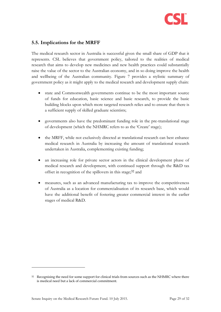

### <span id="page-28-0"></span>**5.5. Implications for the MRFF**

The medical research sector in Australia is successful given the small share of GDP that it represents. CSL believes that government policy, tailored to the realities of medical research that aims to develop new medicines and new health practices could substantially raise the value of the sector to the Australian economy, and in so doing improve the health and wellbeing of the Australian community. [Figure 7](#page-29-0) provides a stylistic summary of government policy as it might apply to the medical research and development supply chain:

- state and Commonwealth governments continue to be the most important source of funds for education, basic science and basic research, to provide the basic building blocks upon which more targeted research relies and to ensure that there is a sufficient supply of skilled graduate scientists;
- governments also have the predominant funding role in the pre-translational stage of development (which the NHMRC refers to as the 'Create' stage);
- the MRFF, while not exclusively directed at translational research can best enhance medical research in Australia by increasing the amount of translational research undertaken in Australia, complementing existing funding;
- an increasing role for private sector actors in the clinical development phase of medical research and development, with continued support through the R&D tax offset in recognition of the spillovers in this stage;<sup>32</sup> and
- measures, such as an advanced manufacturing tax to improve the competitiveness of Australia as a location for commercialisation of its research base, which would have the additional benefit of fostering greater commercial interest in the earlier stages of medical R&D.

<sup>&</sup>lt;sup>32</sup> Recognising the need for some support for clinical trials from sources such as the NHMRC where there is medical need but a lack of commercial commitment.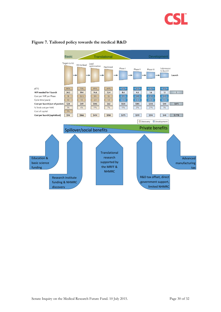



#### <span id="page-29-0"></span>**Figure 7. Tailored policy towards the medical R&D**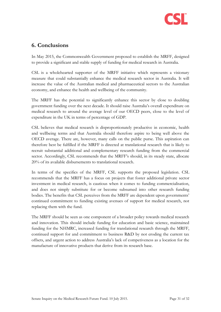

# <span id="page-30-0"></span>**6. Conclusions**

In May 2015, the Commonwealth Government proposed to establish the MRFF, designed to provide a significant and stable supply of funding for medical research in Australia.

CSL is a wholehearted supporter of the MRFF initiative which represents a visionary measure that could substantially enhance the medical research sector in Australia. It will increase the value of the Australian medical and pharmaceutical sectors to the Australian economy, and enhance the health and wellbeing of the community.

The MRFF has the potential to significantly enhance this sector by close to doubling government funding over the next decade. It should raise Australia's overall expenditure on medical research to around the average level of our OECD peers, close to the level of expenditure in the UK in terms of percentage of GDP.

CSL believes that medical research is disproportionately productive in economic, health and wellbeing terms and that Australia should therefore aspire to being well above the OECD average. There are, however, many calls on the public purse. This aspiration can therefore best be fulfilled if the MRFF is directed at translational research that is likely to recruit substantial additional and complementary research funding from the commercial sector. Accordingly, CSL recommends that the MRFF's should, in its steady state, allocate 20% of its available disbursements to translational research.

In terms of the specifics of the MRFF, CSL supports the proposed legislation. CSL recommends that the MRFF has a focus on projects that foster additional private sector investment in medical research, is cautious when it comes to funding commercialisation, and does not simply substitute for or become subsumed into other research funding bodies. The benefits that CSL perceives from the MRFF are dependent upon governments' continued commitment to funding existing avenues of support for medical research, not replacing them with the fund.

The MRFF should be seen as one component of a broader policy towards medical research and innovation. This should include funding for education and basic science, maintained funding for the NHMRC, increased funding for translational research through the MRFF, continued support for and commitment to business R&D by not eroding the current tax offsets, and urgent action to address Australia's lack of competiveness as a location for the manufacture of innovative products that derive from its research base.